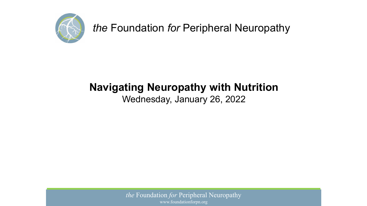

# **Navigating Neuropathy with Nutrition**

#### Wednesday, January 26, 2022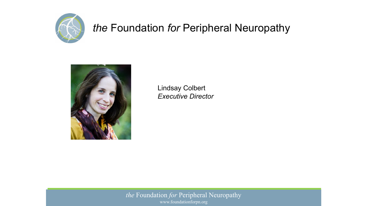



Lindsay Colbert *Executive Director*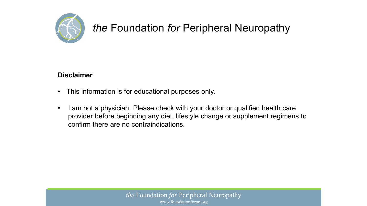

#### **Disclaimer**

- This information is for educational purposes only.
- I am not a physician. Please check with your doctor or qualified health care provider before beginning any diet, lifestyle change or supplement regimens to confirm there are no contraindications.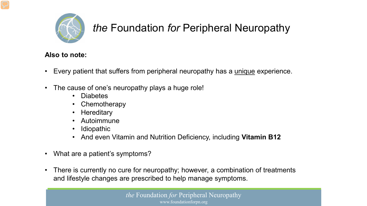

#### **Also to note:**

- Every patient that suffers from peripheral neuropathy has a unique experience.
- The cause of one's neuropathy plays a huge role!
	- Diabetes
	- **Chemotherapy**
	- Hereditary
	- Autoimmune
	- Idiopathic
	- And even Vitamin and Nutrition Deficiency, including **Vitamin B12**
- What are a patient's symptoms?
- There is currently no cure for neuropathy; however, a combination of treatments and lifestyle changes are prescribed to help manage symptoms.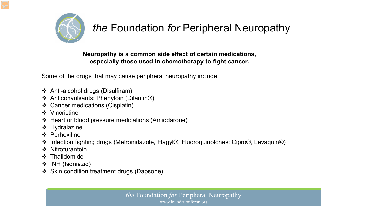

#### **Neuropathy is a common side effect of certain medications, especially those used in chemotherapy to fight cancer.**

Some of the drugs that may cause peripheral neuropathy include:

- Anti-alcohol drugs (Disulfiram)
- Anticonvulsants: Phenytoin (Dilantin®)
- Cancer medications (Cisplatin)
- ❖ Vincristine
- ❖ Heart or blood pressure medications (Amiodarone)
- $\div$  Hydralazine
- ❖ Perhexiline
- Infection fighting drugs (Metronidazole, Flagyl®, Fluoroquinolones: Cipro®, Levaquin®)
- ❖ Nitrofurantoin
- **❖** Thalidomide
- ❖ INH (Isoniazid)
- ❖ Skin condition treatment drugs (Dapsone)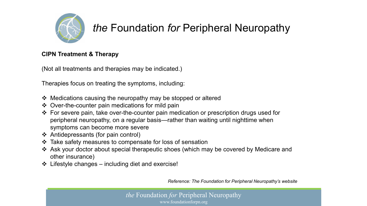

#### **CIPN Treatment & Therapy**

(Not all treatments and therapies may be indicated.)

Therapies focus on treating the symptoms, including:

- Medications causing the neuropathy may be stopped or altered
- Over-the-counter pain medications for mild pain
- For severe pain, take over-the-counter pain medication or prescription drugs used for peripheral neuropathy, on a regular basis—rather than waiting until nighttime when symptoms can become more severe
- $\triangleleft$  Antidepressants (for pain control)
- Take safety measures to compensate for loss of sensation
- Ask your doctor about special therapeutic shoes (which may be covered by Medicare and other insurance)
- $\div$  Lifestyle changes including diet and exercise!

*Reference: The Foundation for Peripheral Neuropathy's website*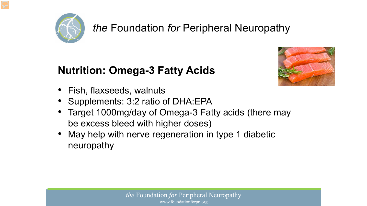

### **Nutrition: Omega-3 Fatty Acids**



- Fish, flaxseeds, walnuts
- Supplements: 3:2 ratio of DHA: EPA
- Target 1000mg/day of Omega-3 Fatty acids (there may be excess bleed with higher doses)
- May help with nerve regeneration in type 1 diabetic neuropathy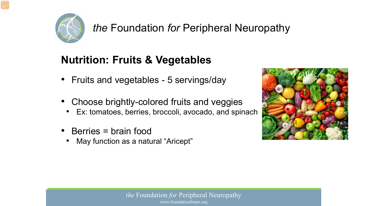

## **Nutrition: Fruits & Vegetables**

- Fruits and vegetables 5 servings/day
- Choose brightly-colored fruits and veggies
	- Ex: tomatoes, berries, broccoli, avocado, and spinach
- Berries = brain food
	- May function as a natural "Aricept"

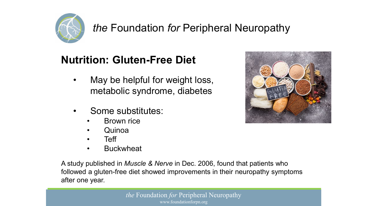

## **Nutrition: Gluten-Free Diet**

- May be helpful for weight loss, metabolic syndrome, diabetes
- Some substitutes:
	- **Brown rice**
	- Quinoa
	- Teff
	- **Buckwheat**

A study published in *Muscle & Nerve* in Dec. 2006, found that patients who followed a gluten-free diet showed improvements in their neuropathy symptoms after one year.

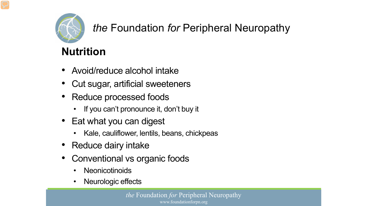

# **Nutrition**

- Avoid/reduce alcohol intake
- Cut sugar, artificial sweeteners
- Reduce processed foods
	- If you can't pronounce it, don't buy it
- Eat what you can digest
	- Kale, cauliflower, lentils, beans, chickpeas
- Reduce dairy intake
- Conventional vs organic foods
	- **Neonicotinoids**
	- Neurologic effects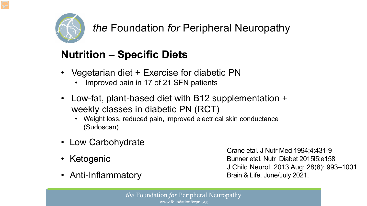

# **Nutrition – Specific Diets**

- Vegetarian diet + Exercise for diabetic PN
	- Improved pain in 17 of 21 SFN patients
- Low-fat, plant-based diet with B12 supplementation + weekly classes in diabetic PN (RCT)
	- Weight loss, reduced pain, improved electrical skin conductance (Sudoscan)
- Low Carbohydrate
- Ketogenic
- Anti-Inflammatory

Crane etal. J Nutr Med 1994;4:431-9 Bunner etal. Nutr Diabet 2015l5:e158 J Child Neurol. 2013 Aug; 28(8): 993–1001. Brain & Life. June/July 2021.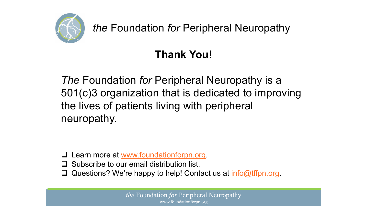

# **Thank You!**

*The* Foundation *for* Peripheral Neuropathy is a 501(c)3 organization that is dedicated to improving the lives of patients living with peripheral neuropathy.

- Learn more at [www.foundationforpn.org](http://www.foundationforpn.org/).
- $\Box$  Subscribe to our email distribution list.
- Questions? We're happy to help! Contact us at  $info@tffpn.org$ .